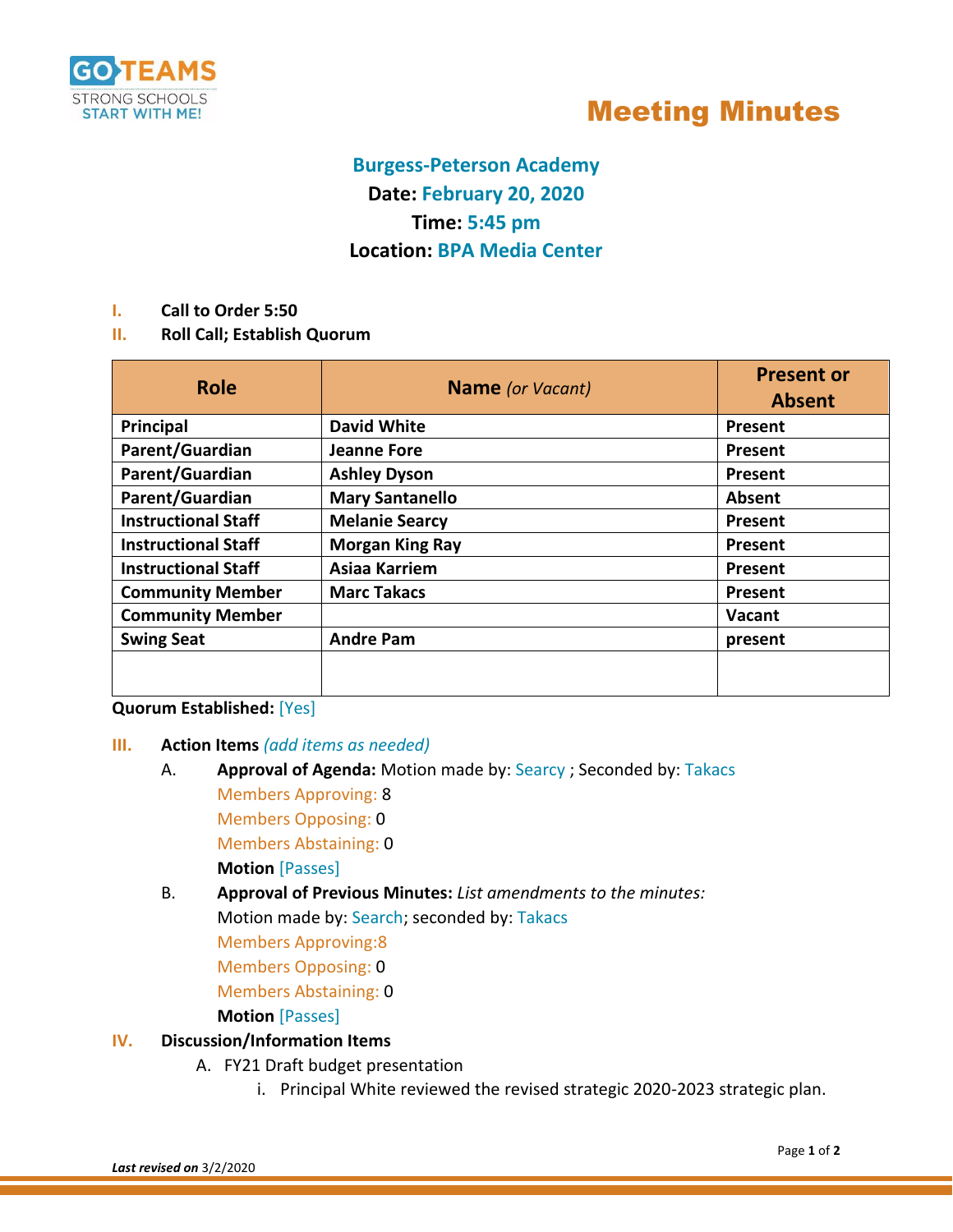

## Meeting Minutes

### **Burgess-Peterson Academy Date: February 20, 2020 Time: 5:45 pm Location: BPA Media Center**

- **I. Call to Order 5:50**
- **II. Roll Call; Establish Quorum**

| <b>Role</b>                | <b>Name</b> (or Vacant) | <b>Present or</b><br><b>Absent</b> |
|----------------------------|-------------------------|------------------------------------|
| Principal                  | <b>David White</b>      | Present                            |
| Parent/Guardian            | <b>Jeanne Fore</b>      | <b>Present</b>                     |
| Parent/Guardian            | <b>Ashley Dyson</b>     | Present                            |
| Parent/Guardian            | <b>Mary Santanello</b>  | Absent                             |
| <b>Instructional Staff</b> | <b>Melanie Searcy</b>   | Present                            |
| <b>Instructional Staff</b> | <b>Morgan King Ray</b>  | <b>Present</b>                     |
| <b>Instructional Staff</b> | <b>Asiaa Karriem</b>    | Present                            |
| <b>Community Member</b>    | <b>Marc Takacs</b>      | Present                            |
| <b>Community Member</b>    |                         | Vacant                             |
| <b>Swing Seat</b>          | <b>Andre Pam</b>        | present                            |
|                            |                         |                                    |

#### **Quorum Established:** [Yes]

- **III. Action Items** *(add items as needed)*
	- A. **Approval of Agenda:** Motion made by: Searcy ; Seconded by: Takacs Members Approving: 8 Members Opposing: 0

Members Abstaining: 0

**Motion** [Passes]

B. **Approval of Previous Minutes:** *List amendments to the minutes:* Motion made by: Search; seconded by: Takacs

Members Approving:8

Members Opposing: 0

Members Abstaining: 0

#### **Motion** [Passes]

#### **IV. Discussion/Information Items**

- A. FY21 Draft budget presentation
	- i. Principal White reviewed the revised strategic 2020-2023 strategic plan.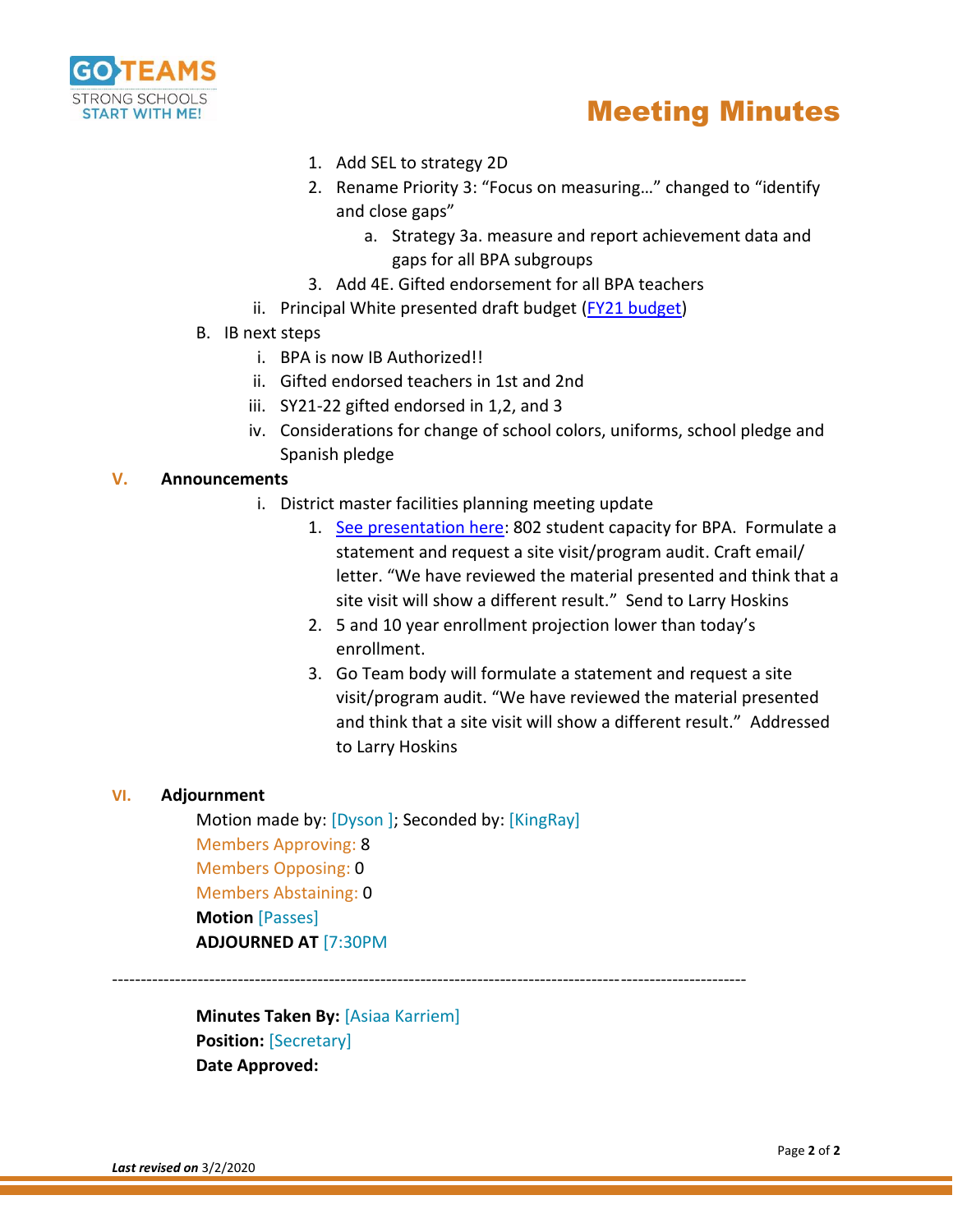

## Meeting Minutes

- 1. Add SEL to strategy 2D
- 2. Rename Priority 3: "Focus on measuring…" changed to "identify and close gaps"
	- a. Strategy 3a. measure and report achievement data and gaps for all BPA subgroups
- 3. Add 4E. Gifted endorsement for all BPA teachers
- ii. Principal White presented draft budget (FY21 [budget\)](../../Downloads/GoTeam%20FY21%20Draft%20Budget%20Presentation%20Feb%202020.pdf)
- B. IB next steps
	- i. BPA is now IB Authorized!!
	- ii. Gifted endorsed teachers in 1st and 2nd
	- iii. SY21-22 gifted endorsed in 1,2, and 3
	- iv. Considerations for change of school colors, uniforms, school pledge and Spanish pledge

#### **V. Announcements**

- i. District master facilities planning meeting update
	- 1. [See presentation here:](../../Downloads/2%2020%2020%20Community%20Conversation%203%20%20February%20Meetings%20021920.pptx.pdf) 802 student capacity for BPA. Formulate a statement and request a site visit/program audit. Craft email/ letter. "We have reviewed the material presented and think that a site visit will show a different result." Send to Larry Hoskins
	- 2. 5 and 10 year enrollment projection lower than today's enrollment.
	- 3. Go Team body will formulate a statement and request a site visit/program audit. "We have reviewed the material presented and think that a site visit will show a different result." Addressed to Larry Hoskins

#### **VI. Adjournment**

Motion made by: [Dyson ]; Seconded by: [KingRay] Members Approving: 8 Members Opposing: 0 Members Abstaining: 0 **Motion** [Passes] **ADJOURNED AT** [7:30PM

---------------------------------------------------------------------------------------------------------------

**Minutes Taken By:** [Asiaa Karriem] **Position:** [Secretary] **Date Approved:**